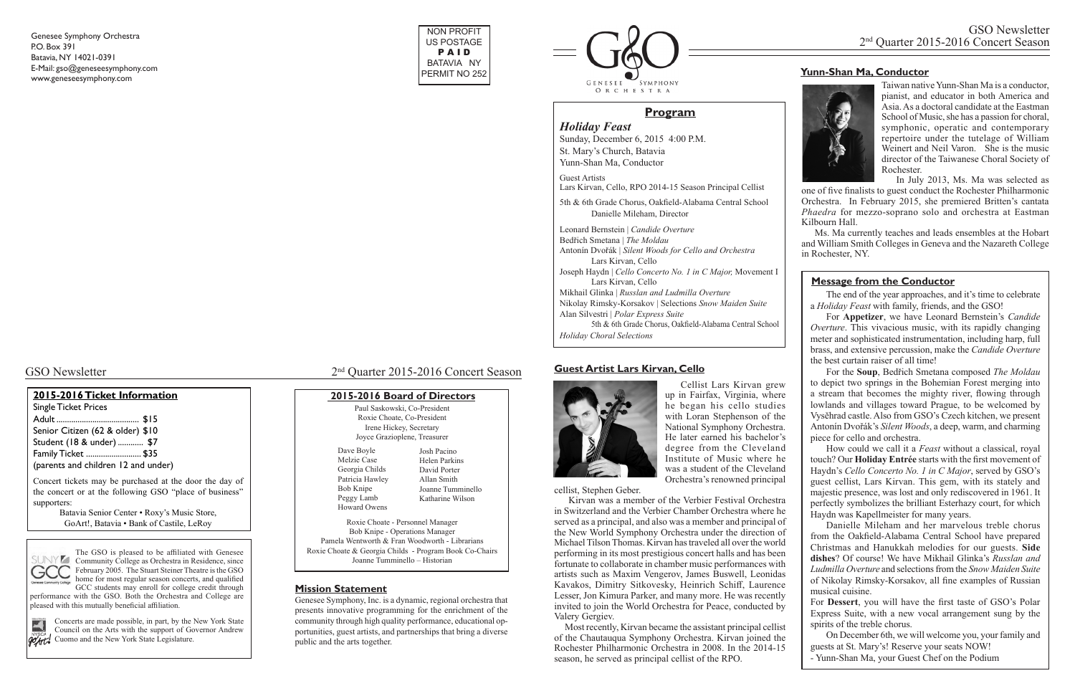#### **Guest Artist Lars Kirvan, Cello**



Cellist Lars Kirvan grew up in Fairfax, Virginia, where he began his cello studies with Loran Stephenson of the National Symphony Orchestra. He later earned his bachelor's degree from the Cleveland Institute of Music where he was a student of the Cleveland Orchestra's renowned principal

cellist, Stephen Geber.

 Kirvan was a member of the Verbier Festival Orchestra in Switzerland and the Verbier Chamber Orchestra where he served as a principal, and also was a member and principal of the New World Symphony Orchestra under the direction of Michael Tilson Thomas. Kirvan has traveled all over the world performing in its most prestigious concert halls and has been fortunate to collaborate in chamber music performances with artists such as Maxim Vengerov, James Buswell, Leonidas Kavakos, Dimitry Sitkovesky, Heinrich Schiff, Laurence Lesser, Jon Kimura Parker, and many more. He was recently invited to join the World Orchestra for Peace, conducted by Valery Gergiev.

 Most recently, Kirvan became the assistant principal cellist of the Chautauqua Symphony Orchestra. Kirvan joined the Rochester Philharmonic Orchestra in 2008. In the 2014-15 season, he served as principal cellist of the RPO.

GCC students may enroll for college credit through performance with the GSO. Both the Orchestra and College are pleased with this mutually beneficial affiliation.

Concerts are made possible, in part, by the New York State Council on the Arts with the support of Governor Andrew **POATL** Cuomo and the New York State Legislature.



# GSO Newsletter 2015-2016 Concert Season

### **2015-2016 Ticket Information**

Single Ticket Prices Adult ....................................... \$15 Senior Citizen (62 & older) \$10 Student (18 & under) ............ \$7 Family Ticket .......................... \$35 (parents and children 12 and under)

#### Paul Saskowski, Co-President **2015-2016 Board of Directors**

Concert tickets may be purchased at the door the day of the concert or at the following GSO "place of business" supporters:

> Batavia Senior Center • Roxy's Music Store, GoArt!, Batavia • Bank of Castile, LeRoy



Genesee Symphony Orchestra P.O. Box 391 Batavia, NY 14021-0391 E-Mail: gso@geneseesymphony.com www.geneseesymphony.com

#### **Mission Statement**

Genesee Symphony, Inc. is a dynamic, regional orchestra that presents innovative programming for the enrichment of the community through high quality performance, educational opportunities, guest artists, and partnerships that bring a diverse public and the arts together.

The GSO is pleased to be affiliated with Genesee  $SUMY \rightarrow$  The GSO is preased to be unique that  $SUNY$ February 2005. The Stuart Steiner Theatre is the GSO home for most regular season concerts, and qualified

| Roxie Choate, Co-President                             |                   |  |
|--------------------------------------------------------|-------------------|--|
| Irene Hickey, Secretary                                |                   |  |
| Joyce Grazioplene, Treasurer                           |                   |  |
| Dave Boyle                                             | Josh Pacino       |  |
| Melzie Case                                            | Helen Parkins     |  |
| Georgia Childs                                         | David Porter      |  |
| Patricia Hawley                                        | Allan Smith       |  |
| Bob Knipe                                              | Joanne Tumminello |  |
| Peggy Lamb                                             | Katharine Wilson  |  |
| Howard Owens                                           |                   |  |
| Roxie Choate - Personnel Manager                       |                   |  |
| Bob Knipe - Operations Manager                         |                   |  |
| Pamela Wentworth & Fran Woodworth - Librarians         |                   |  |
| Roxie Choate & Georgia Childs - Program Book Co-Chairs |                   |  |
| Joanne Tumminello – Historian                          |                   |  |
|                                                        |                   |  |

*Holiday Feast* Sunday, December 6, 2015 4:00 P.M. St. Mary's Church, Batavia

Yunn-Shan Ma, Conductor

Guest Artists Lars Kirvan, Cello, RPO 2014-15 Season Principal Cellist

5th & 6th Grade Chorus, Oakfield-Alabama Central School Danielle Mileham, Director

Leonard Bernstein | *Candide Overture* Bedřich Smetana | *The Moldau* Antonín Dvořák | *Silent Woods for Cello and Orchestra* Lars Kirvan, Cello Joseph Haydn | *Cello Concerto No. 1 in C Major,* Movement I Lars Kirvan, Cello Mikhail Glinka | *Russlan and Ludmilla Overture* Nikolay Rimsky-Korsakov | Selections *Snow Maiden Suite* Alan Silvestri | *Polar Express Suite* 5th & 6th Grade Chorus, Oakfield-Alabama Central School *Holiday Choral Selections*

# **Program**





 Taiwan native Yunn-Shan Ma is a conductor, pianist, and educator in both America and Asia. As a doctoral candidate at the Eastman School of Music, she has a passion for choral, symphonic, operatic and contemporary repertoire under the tutelage of William Weinert and Neil Varon. She is the music director of the Taiwanese Choral Society of Rochester.

 In July 2013, Ms. Ma was selected as one of five finalists to guest conduct the Rochester Philharmonic Orchestra. In February 2015, she premiered Britten's cantata *Phaedra* for mezzo-soprano solo and orchestra at Eastman Kilbourn Hall.

 Ms. Ma currently teaches and leads ensembles at the Hobart and William Smith Colleges in Geneva and the Nazareth College in Rochester, NY.

## **Yunn-Shan Ma, Conductor**



The end of the year approaches, and it's time to celebrate a *Holiday Feast* with family, friends, and the GSO!

For **Appetizer**, we have Leonard Bernstein's *Candide Overture*. This vivacious music, with its rapidly changing meter and sophisticated instrumentation, including harp, full brass, and extensive percussion, make the *Candide Overture* the best curtain raiser of all time!

For the **Soup**, Bedřich Smetana composed *The Moldau* to depict two springs in the Bohemian Forest merging into a stream that becomes the mighty river, flowing through lowlands and villages toward Prague, to be welcomed by Vysěhrad castle. Also from GSO's Czech kitchen, we present Antonín Dvořák's *Silent Woods*, a deep, warm, and charming piece for cello and orchestra.

How could we call it a *Feast* without a classical, royal touch? Our **Holiday Entrée** starts with the first movement of Haydn's *Cello Concerto No. 1 in C Major*, served by GSO's guest cellist, Lars Kirvan. This gem, with its stately and majestic presence, was lost and only rediscovered in 1961. It perfectly symbolizes the brilliant Esterhazy court, for which Haydn was Kapellmeister for many years.

Danielle Mileham and her marvelous treble chorus from the Oakfield-Alabama Central School have prepared Christmas and Hanukkah melodies for our guests. **Side dishes**? Of course! We have Mikhail Glinka's *Russlan and Ludmilla Overture* and selections from the *Snow Maiden Suite* of Nikolay Rimsky-Korsakov, all fine examples of Russian musical cuisine.

For **Dessert**, you will have the first taste of GSO's Polar Express Suite, with a new vocal arrangement sung by the spirits of the treble chorus.

On December 6th, we will welcome you, your family and guests at St. Mary's! Reserve your seats NOW!

- Yunn-Shan Ma, your Guest Chef on the Podium

#### **Message from the Conductor**